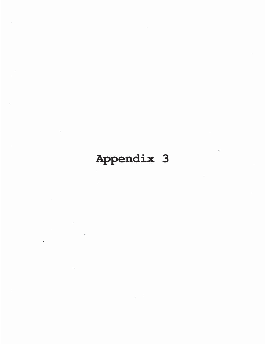## Appendix 3

 $\sim$ 

 $\sim$  100  $\mu$ 

 $\tilde{\mathcal{X}}$ 

ó.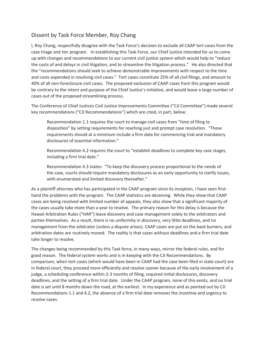## Dissent by Task Force Member, Roy Chang

I, Roy Chang, respectfully disagree with the Task Force's decision to exclude all CAAP tort cases from the case triage and tier program. In establishing this Task Force, our Chief Justice intended for us to come up with changes and recommendations to our current civil justice system which would help to "reduce the costs of and delays in civil litigation, and to streamline the litigation process." He also directed that the "recommendations should seek to achieve demonstrable improvements with respect to the time and costs expended in resolving civil cases." Tort cases constitute 25% of all civil filings, and amount to 40% of all non-foreclosure civil cases. The proposed exclusion of CAAP cases from this program would be contrary to the intent and purpose of the Chief Justice's initiative, and would leave a large number of cases out of the proposed streamlining process.

The Conference of Chief Justices Civil Justice Improvements Committee ("CJI Committee") made several key recommendations ("CJI Recommendations") which are cited, in part, below:

 Recommendation 1.1 requires the court to manage civil cases from "time of filing to disposition" by setting requirements for reaching just and prompt case resolution. "These requirements should at a minimum include a firm date for commencing trial and mandatory disclosures of essential information."

 Recommendation 4.2 requires the court to "establish deadlines to complete key case stages, including a firm trial date."

 Recommendation 4.3 states: "To keep the discovery process proportional to the needs of the case, courts should require mandatory disclosures as an early opportunity to clarify issues, with enumerated and limited discovery thereafter."

As a plaintiff attorney who has participated in the CAAP program since its inception, I have seen firsthand the problems with the program. The CAAP statistics are deceiving. While they show that CAAP cases are being resolved with limited number of appeals, they also show that a significant majority of the cases usually take more than a year to resolve. The primary reason for this delay is because the Hawaii Arbitration Rules ("HAR") leave discovery and case management solely to the arbitrators and parties themselves. As a result, there is no uniformity in discovery, very little deadlines, and no management from the arbitrator (unless a dispute arises). CAAP cases are put on the back burners, and arbitration dates are routinely moved. The reality is that cases without deadlines and a firm trial date take longer to resolve.

The changes being recommended by this Task force, in many ways, mirror the federal rules, and for good reason. The federal system works and is in keeping with the CJI Recommendations. By comparison, when tort cases (which would have been in CAAP had the case been filed in state court) are in federal court, they proceed more efficiently and resolve sooner because of the early involvement of a judge, a scheduling conference within 2-3 months of filing, required initial disclosures, discovery deadlines, and the setting of a firm trial date. Under the CAAP program, none of this exists, and no trial date is set until 8 months down the road, at the earliest. In my experience and as pointed out by CJI Recommendations 1.1 and 4.2, the absence of a firm trial date removes the incentive and urgency to resolve cases.